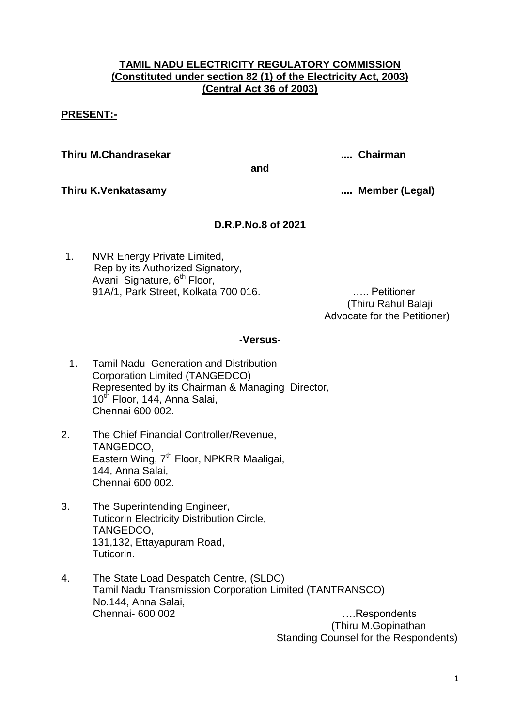### **TAMIL NADU ELECTRICITY REGULATORY COMMISSION (Constituted under section 82 (1) of the Electricity Act, 2003) (Central Act 36 of 2003)**

## **PRESENT:-**

**Thiru M.Chandrasekar .... Chairman**

**and**

**Thiru K.Venkatasamy .... Member (Legal)**

# **D.R.P.No.8 of 2021**

1. NVR Energy Private Limited, Rep by its Authorized Signatory, Avani Signature, 6<sup>th</sup> Floor, 91A/1, Park Street, Kolkata 700 016. [19] The Music Petitioner

 (Thiru Rahul Balaji Advocate for the Petitioner)

### **-Versus-**

- 1. Tamil Nadu Generation and Distribution Corporation Limited (TANGEDCO) Represented by its Chairman & Managing Director, 10<sup>th</sup> Floor, 144, Anna Salai, Chennai 600 002.
- 2. The Chief Financial Controller/Revenue, TANGEDCO, Eastern Wing, 7<sup>th</sup> Floor, NPKRR Maaligai, 144, Anna Salai, Chennai 600 002.
- 3. The Superintending Engineer, Tuticorin Electricity Distribution Circle, TANGEDCO, 131,132, Ettayapuram Road, Tuticorin.
- 4. The State Load Despatch Centre, (SLDC) Tamil Nadu Transmission Corporation Limited (TANTRANSCO) No.144, Anna Salai, Chennai- 600 002….Respondents

 (Thiru M.Gopinathan Standing Counsel for the Respondents)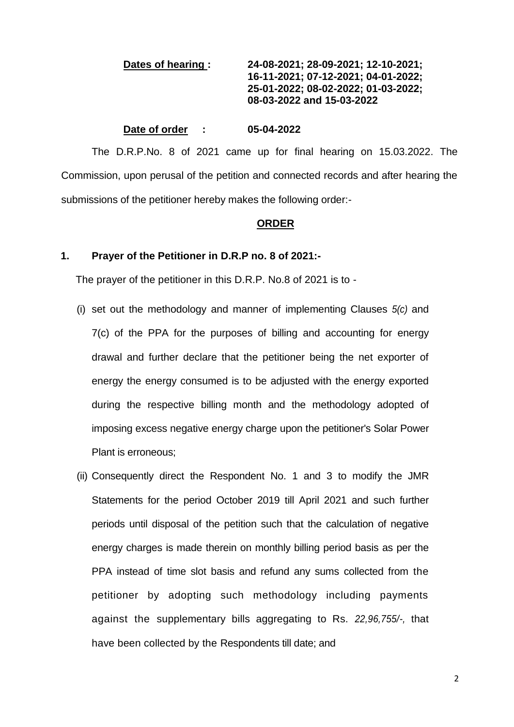## **Dates of hearing : 24-08-2021; 28-09-2021; 12-10-2021; 16-11-2021; 07-12-2021; 04-01-2022; 25-01-2022; 08-02-2022; 01-03-2022; 08-03-2022 and 15-03-2022**

#### **Date of order : 05-04-2022**

The D.R.P.No. 8 of 2021 came up for final hearing on 15.03.2022. The Commission, upon perusal of the petition and connected records and after hearing the submissions of the petitioner hereby makes the following order:-

#### **ORDER**

#### **1. Prayer of the Petitioner in D.R.P no. 8 of 2021:-**

The prayer of the petitioner in this D.R.P. No.8 of 2021 is to -

- (i) set out the methodology and manner of implementing Clauses *5(c)* and 7(c) of the PPA for the purposes of billing and accounting for energy drawal and further declare that the petitioner being the net exporter of energy the energy consumed is to be adjusted with the energy exported during the respective billing month and the methodology adopted of imposing excess negative energy charge upon the petitioner's Solar Power Plant is erroneous;
- (ii) Consequently direct the Respondent No. 1 and 3 to modify the JMR Statements for the period October 2019 till April 2021 and such further periods until disposal of the petition such that the calculation of negative energy charges is made therein on monthly billing period basis as per the PPA instead of time slot basis and refund any sums collected from the petitioner by adopting such methodology including payments against the supplementary bills aggregating to Rs. *22,96,755/-,* that have been collected by the Respondents till date; and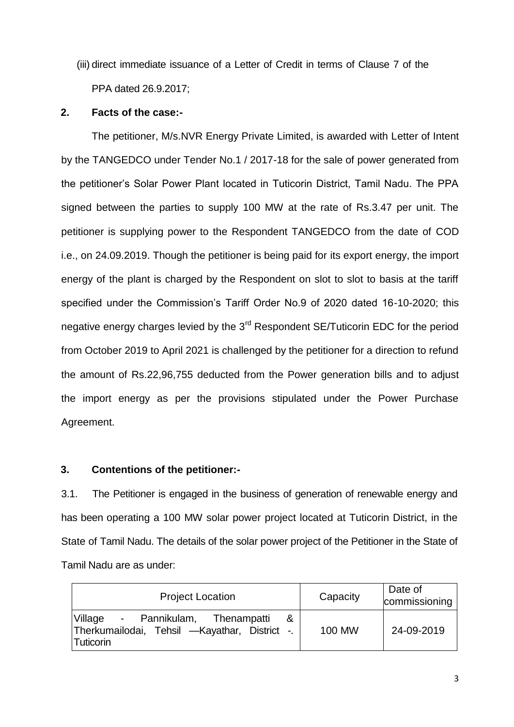(iii) direct immediate issuance of a Letter of Credit in terms of Clause 7 of the PPA dated 26.9.2017;

### **2. Facts of the case:-**

The petitioner, M/s.NVR Energy Private Limited, is awarded with Letter of Intent by the TANGEDCO under Tender No.1 / 2017-18 for the sale of power generated from the petitioner's Solar Power Plant located in Tuticorin District, Tamil Nadu. The PPA signed between the parties to supply 100 MW at the rate of Rs.3.47 per unit. The petitioner is supplying power to the Respondent TANGEDCO from the date of COD i.e., on 24.09.2019. Though the petitioner is being paid for its export energy, the import energy of the plant is charged by the Respondent on slot to slot to basis at the tariff specified under the Commission's Tariff Order No.9 of 2020 dated 16-10-2020; this negative energy charges levied by the 3<sup>rd</sup> Respondent SE/Tuticorin EDC for the period from October 2019 to April 2021 is challenged by the petitioner for a direction to refund the amount of Rs.22,96,755 deducted from the Power generation bills and to adjust the import energy as per the provisions stipulated under the Power Purchase Agreement.

### **3. Contentions of the petitioner:-**

3.1. The Petitioner is engaged in the business of generation of renewable energy and has been operating a 100 MW solar power project located at Tuticorin District, in the State of Tamil Nadu. The details of the solar power project of the Petitioner in the State of Tamil Nadu are as under:

| <b>Project Location</b>                                                                                 | Capacity | Date of<br>commissioning |
|---------------------------------------------------------------------------------------------------------|----------|--------------------------|
| Village<br>- Pannikulam, Thenampatti<br>&<br>Therkumailodai, Tehsil - Kayathar, District -<br>Tuticorin | 100 MW   | 24-09-2019               |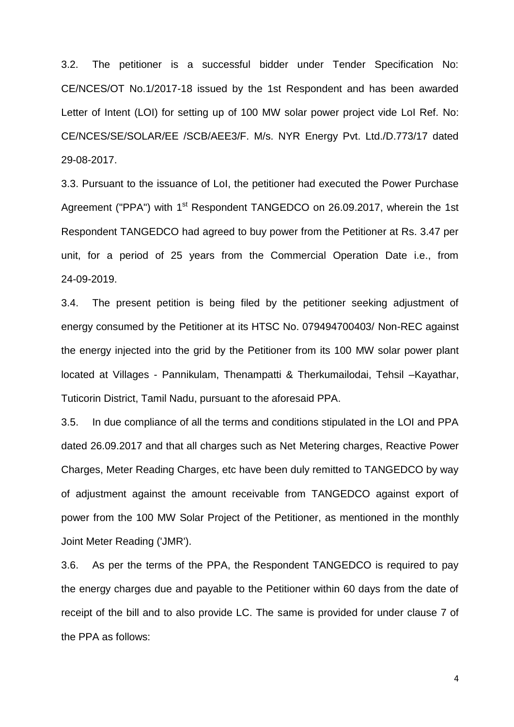3.2. The petitioner is a successful bidder under Tender Specification No: CE/NCES/OT No.1/2017-18 issued by the 1st Respondent and has been awarded Letter of Intent (LOI) for setting up of 100 MW solar power project vide LoI Ref. No: CE/NCES/SE/SOLAR/EE /SCB/AEE3/F. M/s. NYR Energy Pvt. Ltd./D.773/17 dated 29-08-2017.

3.3. Pursuant to the issuance of LoI, the petitioner had executed the Power Purchase Agreement ("PPA") with 1<sup>st</sup> Respondent TANGEDCO on 26.09.2017, wherein the 1st Respondent TANGEDCO had agreed to buy power from the Petitioner at Rs. 3.47 per unit, for a period of 25 years from the Commercial Operation Date i.e., from 24-09-2019.

3.4. The present petition is being filed by the petitioner seeking adjustment of energy consumed by the Petitioner at its HTSC No. 079494700403/ Non-REC against the energy injected into the grid by the Petitioner from its 100 MW solar power plant located at Villages - Pannikulam, Thenampatti & Therkumailodai, Tehsil –Kayathar, Tuticorin District, Tamil Nadu, pursuant to the aforesaid PPA.

3.5. In due compliance of all the terms and conditions stipulated in the LOI and PPA dated 26.09.2017 and that all charges such as Net Metering charges, Reactive Power Charges, Meter Reading Charges, etc have been duly remitted to TANGEDCO by way of adjustment against the amount receivable from TANGEDCO against export of power from the 100 MW Solar Project of the Petitioner, as mentioned in the monthly Joint Meter Reading ('JMR').

3.6. As per the terms of the PPA, the Respondent TANGEDCO is required to pay the energy charges due and payable to the Petitioner within 60 days from the date of receipt of the bill and to also provide LC. The same is provided for under clause 7 of the PPA as follows: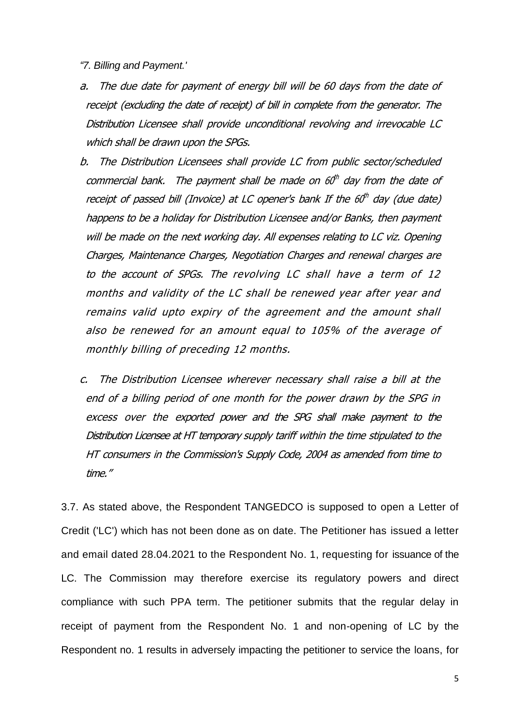*"7. Billing and Payment.'*

- a. The due date for payment of energy bill will be 60 days from the date of receipt (excluding the date of receipt) of bill in complete from the generator. The Distribution Licensee shall provide unconditional revolving and irrevocable LC which shall be drawn upon the SPGs.
- b. The Distribution Licensees shall provide LC from public sector/scheduled commercial bank. The payment shall be made on 60<sup>th</sup> day from the date of receipt of passed bill (Invoice) at LC opener's bank If the 60<sup>th</sup> day (due date) happens to be a holiday for Distribution Licensee and/or Banks, then payment will be made on the next working day. All expenses relating to LC viz. Opening Charges, Maintenance Charges, Negotiation Charges and renewal charges are to the account of SPGs. The revolving LC shall have a term of 12 months and validity of the LC shall be renewed year after year and remains valid upto expiry of the agreement and the amount shall also be renewed for an amount equal to 105% of the average of monthly billing of preceding 12 months.
- c. The Distribution Licensee wherever necessary shall raise a bill at the end of a billing period of one month for the power drawn by the SPG in excess over the exported power and the SPG shall make payment to the Distribution Licensee at HT temporary supply tariff within the time stipulated to the HT consumers in the Commission's Supply Code, 2004 as amended from time to time."

3.7. As stated above, the Respondent TANGEDCO is supposed to open a Letter of Credit ('LC') which has not been done as on date. The Petitioner has issued a letter and email dated 28.04.2021 to the Respondent No. 1, requesting for issuance of the LC. The Commission may therefore exercise its regulatory powers and direct compliance with such PPA term. The petitioner submits that the regular delay in receipt of payment from the Respondent No. 1 and non-opening of LC by the Respondent no. 1 results in adversely impacting the petitioner to service the loans, for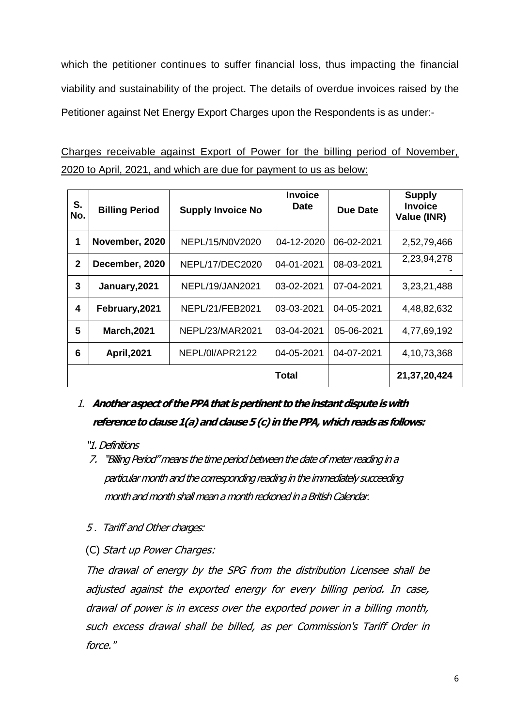which the petitioner continues to suffer financial loss, thus impacting the financial viability and sustainability of the project. The details of overdue invoices raised by the Petitioner against Net Energy Export Charges upon the Respondents is as under:-

Charges receivable against Export of Power for the billing period of November, 2020 to April, 2021, and which are due for payment to us as below:

| S.<br>No.      | <b>Billing Period</b> | <b>Supply Invoice No</b> | <b>Invoice</b><br><b>Date</b> | <b>Due Date</b> | <b>Supply</b><br><b>Invoice</b><br>Value (INR) |
|----------------|-----------------------|--------------------------|-------------------------------|-----------------|------------------------------------------------|
| 1              | November, 2020        | NEPL/15/N0V2020          | 04-12-2020                    | 06-02-2021      | 2,52,79,466                                    |
| $\overline{2}$ | December, 2020        | NEPL/17/DEC2020          | 04-01-2021                    | 08-03-2021      | 2,23,94,278                                    |
| 3              | January, 2021         | NEPL/19/JAN2021          | 03-02-2021                    | 07-04-2021      | 3,23,21,488                                    |
| 4              | February, 2021        | NEPL/21/FEB2021          | 03-03-2021                    | 04-05-2021      | 4,48,82,632                                    |
| 5              | <b>March, 2021</b>    | NEPL/23/MAR2021          | 03-04-2021                    | 05-06-2021      | 4,77,69,192                                    |
| 6              | <b>April, 2021</b>    | NEPL/0I/APR2122          | 04-05-2021                    | 04-07-2021      | 4, 10, 73, 368                                 |
|                |                       |                          | Total                         |                 | 21,37,20,424                                   |

- 1. **Another aspect of the PPA that is pertinent to the instant dispute is with reference to clause 1(a) and clause 5 (c) in the PPA, which reads as follows:** 
	- "1. Definitions
	- 7. "Billing Period" means the time period between the date of meter reading in a particular month and the corresponding reading in the immediately succeeding month and month shall mean a month reckoned in a British Calendar.
	- 5 . Tariff and Other charges:
	- (C) Start up Power Charges:

The drawal of energy by the SPG from the distribution Licensee shall be adjusted against the exported energy for every billing period. In case, drawal of power is in excess over the exported power in a billing month, such excess drawal shall be billed, as per Commission's Tariff Order in force."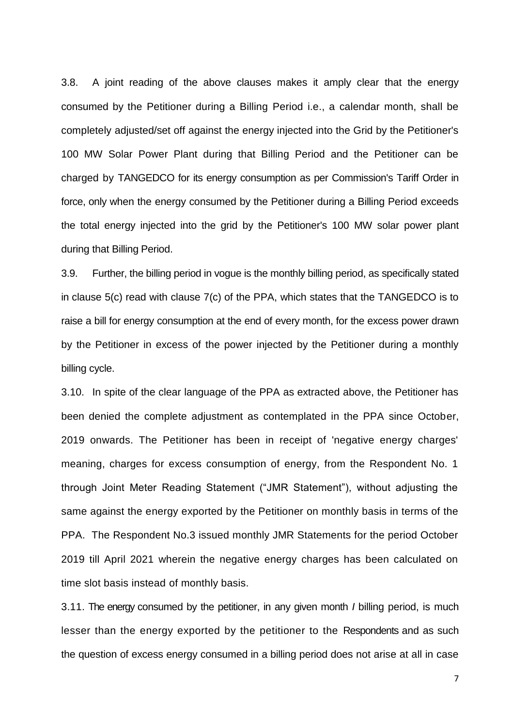3.8. A joint reading of the above clauses makes it amply clear that the energy consumed by the Petitioner during a Billing Period i.e., a calendar month, shall be completely adjusted/set off against the energy injected into the Grid by the Petitioner's 100 MW Solar Power Plant during that Billing Period and the Petitioner can be charged by TANGEDCO for its energy consumption as per Commission's Tariff Order in force, only when the energy consumed by the Petitioner during a Billing Period exceeds the total energy injected into the grid by the Petitioner's 100 MW solar power plant during that Billing Period.

3.9. Further, the billing period in vogue is the monthly billing period, as specifically stated in clause 5(c) read with clause 7(c) of the PPA, which states that the TANGEDCO is to raise a bill for energy consumption at the end of every month, for the excess power drawn by the Petitioner in excess of the power injected by the Petitioner during a monthly billing cycle.

3.10. In spite of the clear language of the PPA as extracted above, the Petitioner has been denied the complete adjustment as contemplated in the PPA since October, 2019 onwards. The Petitioner has been in receipt of 'negative energy charges' meaning, charges for excess consumption of energy, from the Respondent No. 1 through Joint Meter Reading Statement ("JMR Statement"), without adjusting the same against the energy exported by the Petitioner on monthly basis in terms of the PPA. The Respondent No.3 issued monthly JMR Statements for the period October 2019 till April 2021 wherein the negative energy charges has been calculated on time slot basis instead of monthly basis.

3.11. The energy consumed by the petitioner, in any given month *I* billing period, is much lesser than the energy exported by the petitioner to the Respondents and as such the question of excess energy consumed in a billing period does not arise at all in case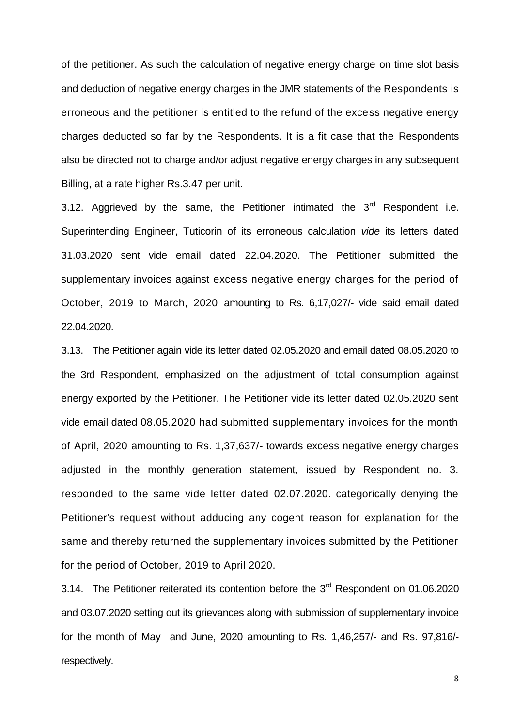of the petitioner. As such the calculation of negative energy charge on time slot basis and deduction of negative energy charges in the JMR statements of the Respondents is erroneous and the petitioner is entitled to the refund of the excess negative energy charges deducted so far by the Respondents. It is a fit case that the Respondents also be directed not to charge and/or adjust negative energy charges in any subsequent Billing, at a rate higher Rs.3.47 per unit.

3.12. Aggrieved by the same, the Petitioner intimated the  $3<sup>rd</sup>$  Respondent i.e. Superintending Engineer, Tuticorin of its erroneous calculation *vide* its letters dated 31.03.2020 sent vide email dated 22.04.2020. The Petitioner submitted the supplementary invoices against excess negative energy charges for the period of October, 2019 to March, 2020 amounting to Rs. 6,17,027/- vide said email dated 22.04.2020.

3.13. The Petitioner again vide its letter dated 02.05.2020 and email dated 08.05.2020 to the 3rd Respondent, emphasized on the adjustment of total consumption against energy exported by the Petitioner. The Petitioner vide its letter dated 02.05.2020 sent vide email dated 08.05.2020 had submitted supplementary invoices for the month of April, 2020 amounting to Rs. 1,37,637/- towards excess negative energy charges adjusted in the monthly generation statement, issued by Respondent no. 3. responded to the same vide letter dated 02.07.2020. categorically denying the Petitioner's request without adducing any cogent reason for explanation for the same and thereby returned the supplementary invoices submitted by the Petitioner for the period of October, 2019 to April 2020.

3.14. The Petitioner reiterated its contention before the 3<sup>rd</sup> Respondent on 01.06.2020 and 03.07.2020 setting out its grievances along with submission of supplementary invoice for the month of May and June, 2020 amounting to Rs. 1,46,257/- and Rs. 97,816/ respectively.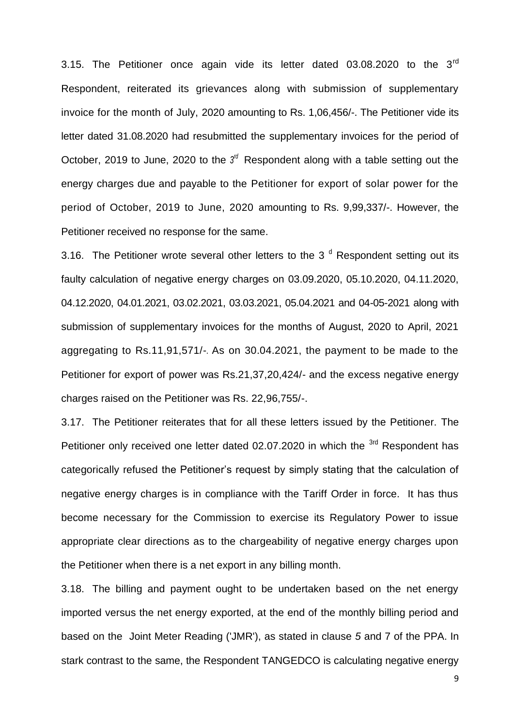3.15. The Petitioner once again vide its letter dated 03.08.2020 to the 3<sup>rd</sup> Respondent, reiterated its grievances along with submission of supplementary invoice for the month of July, 2020 amounting to Rs. 1,06,456/-. The Petitioner vide its letter dated 31.08.2020 had resubmitted the supplementary invoices for the period of October, 2019 to June, 2020 to the 3<sup>d</sup> Respondent along with a table setting out the energy charges due and payable to the Petitioner for export of solar power for the period of October, 2019 to June, 2020 amounting to Rs. 9,99,337/-. However, the Petitioner received no response for the same.

3.16. The Petitioner wrote several other letters to the 3 $<sup>d</sup>$  Respondent setting out its</sup> faulty calculation of negative energy charges on 03.09.2020, 05.10.2020, 04.11.2020, 04.12.2020, 04.01.2021, 03.02.2021, 03.03.2021, 05.04.2021 and 04-05-2021 along with submission of supplementary invoices for the months of August, 2020 to April, 2021 aggregating to Rs.11,91,571/-*.* As on 30.04.2021, the payment to be made to the Petitioner for export of power was Rs.21,37,20,424/- and the excess negative energy charges raised on the Petitioner was Rs. 22,96,755/-.

3.17. The Petitioner reiterates that for all these letters issued by the Petitioner. The Petitioner only received one letter dated 02.07.2020 in which the <sup>3rd</sup> Respondent has categorically refused the Petitioner's request by simply stating that the calculation of negative energy charges is in compliance with the Tariff Order in force. It has thus become necessary for the Commission to exercise its Regulatory Power to issue appropriate clear directions as to the chargeability of negative energy charges upon the Petitioner when there is a net export in any billing month.

3.18. The billing and payment ought to be undertaken based on the net energy imported versus the net energy exported, at the end of the monthly billing period and based on the Joint Meter Reading ('JMR'), as stated in clause *5* and 7 of the PPA. In stark contrast to the same, the Respondent TANGEDCO is calculating negative energy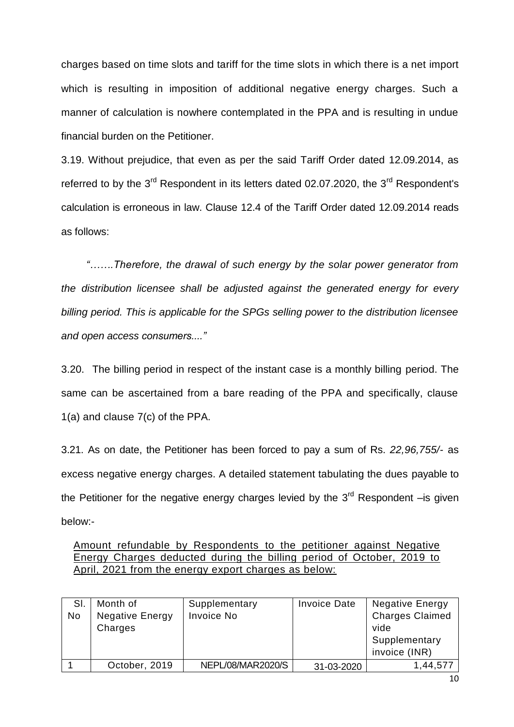charges based on time slots and tariff for the time slots in which there is a net import which is resulting in imposition of additional negative energy charges. Such a manner of calculation is nowhere contemplated in the PPA and is resulting in undue financial burden on the Petitioner.

3.19. Without prejudice, that even as per the said Tariff Order dated 12.09.2014, as referred to by the  $3<sup>rd</sup>$  Respondent in its letters dated 02.07.2020, the  $3<sup>rd</sup>$  Respondent's calculation is erroneous in law. Clause 12.4 of the Tariff Order dated 12.09.2014 reads as follows:

*"…….Therefore, the drawal of such energy by the solar power generator from the distribution licensee shall be adjusted against the generated energy for every billing period. This is applicable for the SPGs selling power to the distribution licensee and open access consumers...."*

3.20. The billing period in respect of the instant case is a monthly billing period. The same can be ascertained from a bare reading of the PPA and specifically, clause 1(a) and clause 7(c) of the PPA.

3.21. As on date, the Petitioner has been forced to pay a sum of Rs. *22,96,755/-* as excess negative energy charges. A detailed statement tabulating the dues payable to the Petitioner for the negative energy charges levied by the  $3<sup>rd</sup>$  Respondent –is given below:-

| Amount refundable by Respondents to the petitioner against Negative   |  |  |  |  |  |  |
|-----------------------------------------------------------------------|--|--|--|--|--|--|
| Energy Charges deducted during the billing period of October, 2019 to |  |  |  |  |  |  |
| April, 2021 from the energy export charges as below:                  |  |  |  |  |  |  |

| SI.<br>No | Month of<br><b>Negative Energy</b><br>Charges | Supplementary<br>Invoice No | <b>Invoice Date</b> | <b>Negative Energy</b><br><b>Charges Claimed</b><br>vide |
|-----------|-----------------------------------------------|-----------------------------|---------------------|----------------------------------------------------------|
|           |                                               |                             |                     | Supplementary<br>invoice (INR)                           |
|           | October, 2019                                 | NEPL/08/MAR2020/S           | 31-03-2020          | 1,44,577                                                 |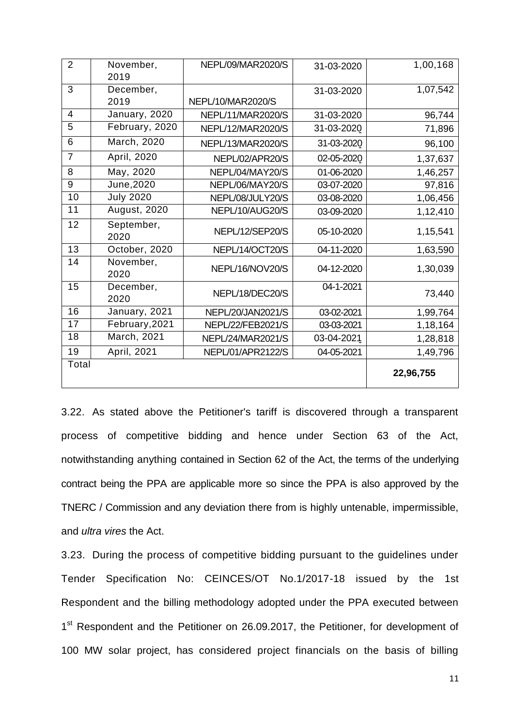| Total          |                     |                   |                         | 22,96,755 |
|----------------|---------------------|-------------------|-------------------------|-----------|
| 19             | April, 2021         | NEPL/01/APR2122/S | 04-05-2021              | 1,49,796  |
| 18             | March, 2021         | NEPL/24/MAR2021/S | 03-04-2021              | 1,28,818  |
| 17             | February, 2021      | NEPL/22/FEB2021/S | 03-03-2021              | 1,18,164  |
| 16             | January, 2021       | NEPL/20/JAN2021/S | 03-02-2021              | 1,99,764  |
| 15             | December,<br>2020   | NEPL/18/DEC20/S   | $\overline{04-1}$ -2021 | 73,440    |
| 14             | November,<br>2020   | NEPL/16/NOV20/S   | 04-12-2020              | 1,30,039  |
| 13             | October, 2020       | NEPL/14/OCT20/S   | 04-11-2020              | 1,63,590  |
| 12             | September,<br>2020  | NEPL/12/SEP20/S   | 05-10-2020              | 1,15,541  |
| 11             | <b>August, 2020</b> | NEPL/10/AUG20/S   | 03-09-2020              | 1,12,410  |
| 10             | <b>July 2020</b>    | NEPL/08/JULY20/S  | 03-08-2020              | 1,06,456  |
| 9              | June, 2020          | NEPL/06/MAY20/S   | 03-07-2020              | 97,816    |
| 8              | May, 2020           | NEPL/04/MAY20/S   | 01-06-2020              | 1,46,257  |
| $\overline{7}$ | April, 2020         | NEPL/02/APR20/S   | 02-05-2020              | 1,37,637  |
| 6              | March, 2020         | NEPL/13/MAR2020/S | 31-03-2020              | 96,100    |
| 5              | February, 2020      | NEPL/12/MAR2020/S | 31-03-2020              | 71,896    |
| 4              | January, 2020       | NEPL/11/MAR2020/S | 31-03-2020              | 96,744    |
| 3              | December,<br>2019   | NEPL/10/MAR2020/S | 31-03-2020              | 1,07,542  |
| 2              | November,<br>2019   | NEPL/09/MAR2020/S | 31-03-2020              | 1,00,168  |

3.22. As stated above the Petitioner's tariff is discovered through a transparent process of competitive bidding and hence under Section 63 of the Act, notwithstanding anything contained in Section 62 of the Act, the terms of the underlying contract being the PPA are applicable more so since the PPA is also approved by the TNERC / Commission and any deviation there from is highly untenable, impermissible, and *ultra vires* the Act.

3.23. During the process of competitive bidding pursuant to the guidelines under Tender Specification No: CEINCES/OT No.1/2017-18 issued by the 1st Respondent and the billing methodology adopted under the PPA executed between 1<sup>st</sup> Respondent and the Petitioner on 26.09.2017, the Petitioner, for development of 100 MW solar project, has considered project financials on the basis of billing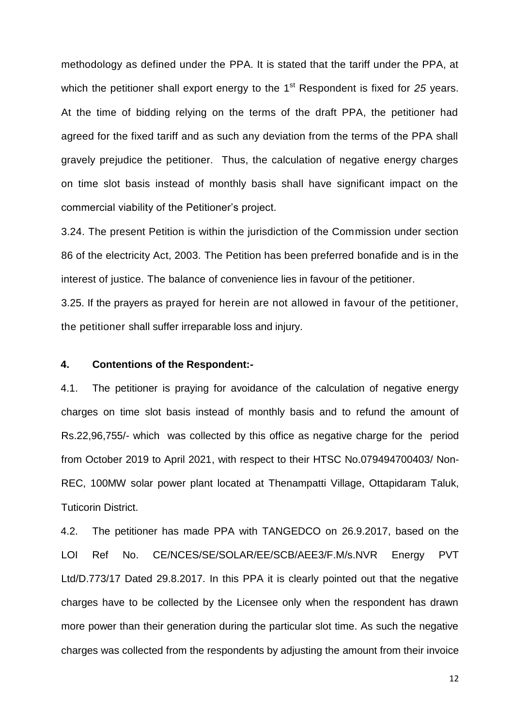methodology as defined under the PPA. It is stated that the tariff under the PPA, at which the petitioner shall export energy to the 1<sup>st</sup> Respondent is fixed for 25 years. At the time of bidding relying on the terms of the draft PPA, the petitioner had agreed for the fixed tariff and as such any deviation from the terms of the PPA shall gravely prejudice the petitioner. Thus, the calculation of negative energy charges on time slot basis instead of monthly basis shall have significant impact on the commercial viability of the Petitioner's project.

3.24. The present Petition is within the jurisdiction of the Commission under section 86 of the electricity Act, 2003. The Petition has been preferred bonafide and is in the interest of justice. The balance of convenience lies in favour of the petitioner.

3.25. If the prayers as prayed for herein are not allowed in favour of the petitioner, the petitioner shall suffer irreparable loss and injury.

#### **4. Contentions of the Respondent:-**

4.1. The petitioner is praying for avoidance of the calculation of negative energy charges on time slot basis instead of monthly basis and to refund the amount of Rs.22,96,755/- which was collected by this office as negative charge for the period from October 2019 to April 2021, with respect to their HTSC No.079494700403/ Non-REC, 100MW solar power plant located at Thenampatti Village, Ottapidaram Taluk, Tuticorin District.

4.2. The petitioner has made PPA with TANGEDCO on 26.9.2017, based on the LOI Ref No. CE/NCES/SE/SOLAR/EE/SCB/AEE3/F.M/s.NVR Energy PVT Ltd/D.773/17 Dated 29.8.2017. In this PPA it is clearly pointed out that the negative charges have to be collected by the Licensee only when the respondent has drawn more power than their generation during the particular slot time. As such the negative charges was collected from the respondents by adjusting the amount from their invoice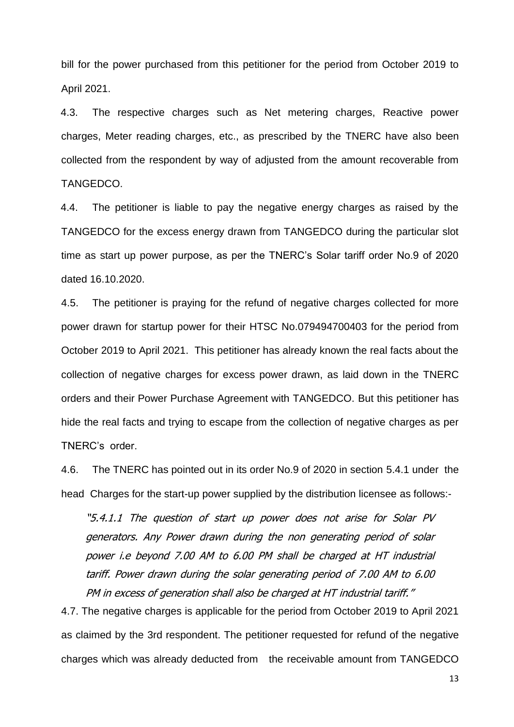bill for the power purchased from this petitioner for the period from October 2019 to April 2021.

4.3. The respective charges such as Net metering charges, Reactive power charges, Meter reading charges, etc., as prescribed by the TNERC have also been collected from the respondent by way of adjusted from the amount recoverable from TANGEDCO.

4.4. The petitioner is liable to pay the negative energy charges as raised by the TANGEDCO for the excess energy drawn from TANGEDCO during the particular slot time as start up power purpose, as per the TNERC's Solar tariff order No.9 of 2020 dated 16.10.2020.

4.5. The petitioner is praying for the refund of negative charges collected for more power drawn for startup power for their HTSC No.079494700403 for the period from October 2019 to April 2021. This petitioner has already known the real facts about the collection of negative charges for excess power drawn, as laid down in the TNERC orders and their Power Purchase Agreement with TANGEDCO. But this petitioner has hide the real facts and trying to escape from the collection of negative charges as per TNERC's order.

4.6. The TNERC has pointed out in its order No.9 of 2020 in section 5.4.1 under the head Charges for the start-up power supplied by the distribution licensee as follows:-

"5.4.1.1 The question of start up power does not arise for Solar PV generators. Any Power drawn during the non generating period of solar power i.e beyond 7.00 AM to 6.00 PM shall be charged at HT industrial tariff. Power drawn during the solar generating period of 7.00 AM to 6.00 PM in excess of generation shall also be charged at HT industrial tariff."

4.7. The negative charges is applicable for the period from October 2019 to April 2021 as claimed by the 3rd respondent. The petitioner requested for refund of the negative charges which was already deducted from the receivable amount from TANGEDCO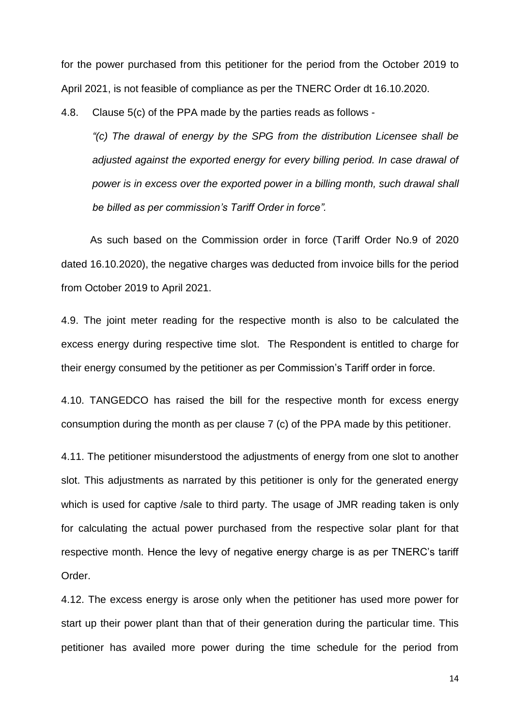for the power purchased from this petitioner for the period from the October 2019 to April 2021, is not feasible of compliance as per the TNERC Order dt 16.10.2020.

4.8. Clause 5(c) of the PPA made by the parties reads as follows -

*"(c) The drawal of energy by the SPG from the distribution Licensee shall be adjusted against the exported energy for every billing period. In case drawal of power is in excess over the exported power in a billing month, such drawal shall be billed as per commission's Tariff Order in force".*

 As such based on the Commission order in force (Tariff Order No.9 of 2020 dated 16.10.2020), the negative charges was deducted from invoice bills for the period from October 2019 to April 2021.

4.9. The joint meter reading for the respective month is also to be calculated the excess energy during respective time slot. The Respondent is entitled to charge for their energy consumed by the petitioner as per Commission's Tariff order in force.

4.10. TANGEDCO has raised the bill for the respective month for excess energy consumption during the month as per clause 7 (c) of the PPA made by this petitioner.

4.11. The petitioner misunderstood the adjustments of energy from one slot to another slot. This adjustments as narrated by this petitioner is only for the generated energy which is used for captive /sale to third party. The usage of JMR reading taken is only for calculating the actual power purchased from the respective solar plant for that respective month. Hence the levy of negative energy charge is as per TNERC's tariff Order.

4.12. The excess energy is arose only when the petitioner has used more power for start up their power plant than that of their generation during the particular time. This petitioner has availed more power during the time schedule for the period from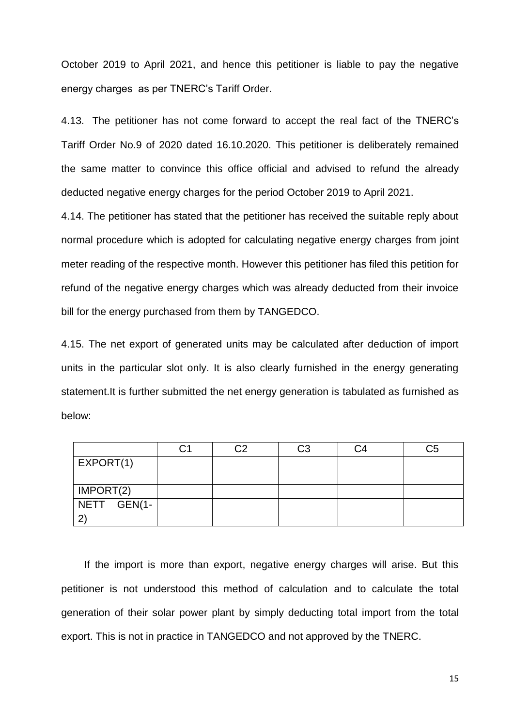October 2019 to April 2021, and hence this petitioner is liable to pay the negative energy charges as per TNERC's Tariff Order.

4.13. The petitioner has not come forward to accept the real fact of the TNERC's Tariff Order No.9 of 2020 dated 16.10.2020. This petitioner is deliberately remained the same matter to convince this office official and advised to refund the already deducted negative energy charges for the period October 2019 to April 2021.

4.14. The petitioner has stated that the petitioner has received the suitable reply about normal procedure which is adopted for calculating negative energy charges from joint meter reading of the respective month. However this petitioner has filed this petition for refund of the negative energy charges which was already deducted from their invoice bill for the energy purchased from them by TANGEDCO.

4.15. The net export of generated units may be calculated after deduction of import units in the particular slot only. It is also clearly furnished in the energy generating statement.It is further submitted the net energy generation is tabulated as furnished as below:

|             | ∩ว | C3 | C <sub>5</sub> |
|-------------|----|----|----------------|
| EXPORT(1)   |    |    |                |
|             |    |    |                |
| IMPORT(2)   |    |    |                |
| NETT GEN(1- |    |    |                |
|             |    |    |                |

 If the import is more than export, negative energy charges will arise. But this petitioner is not understood this method of calculation and to calculate the total generation of their solar power plant by simply deducting total import from the total export. This is not in practice in TANGEDCO and not approved by the TNERC.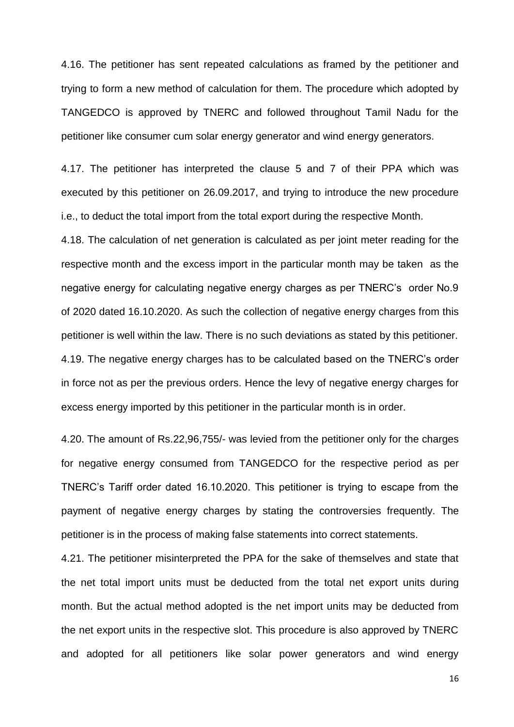4.16. The petitioner has sent repeated calculations as framed by the petitioner and trying to form a new method of calculation for them. The procedure which adopted by TANGEDCO is approved by TNERC and followed throughout Tamil Nadu for the petitioner like consumer cum solar energy generator and wind energy generators.

4.17. The petitioner has interpreted the clause 5 and 7 of their PPA which was executed by this petitioner on 26.09.2017, and trying to introduce the new procedure i.e., to deduct the total import from the total export during the respective Month.

4.18. The calculation of net generation is calculated as per joint meter reading for the respective month and the excess import in the particular month may be taken as the negative energy for calculating negative energy charges as per TNERC's order No.9 of 2020 dated 16.10.2020. As such the collection of negative energy charges from this petitioner is well within the law. There is no such deviations as stated by this petitioner. 4.19. The negative energy charges has to be calculated based on the TNERC's order in force not as per the previous orders. Hence the levy of negative energy charges for excess energy imported by this petitioner in the particular month is in order.

4.20. The amount of Rs.22,96,755/- was levied from the petitioner only for the charges for negative energy consumed from TANGEDCO for the respective period as per TNERC's Tariff order dated 16.10.2020. This petitioner is trying to escape from the payment of negative energy charges by stating the controversies frequently. The petitioner is in the process of making false statements into correct statements.

4.21. The petitioner misinterpreted the PPA for the sake of themselves and state that the net total import units must be deducted from the total net export units during month. But the actual method adopted is the net import units may be deducted from the net export units in the respective slot. This procedure is also approved by TNERC and adopted for all petitioners like solar power generators and wind energy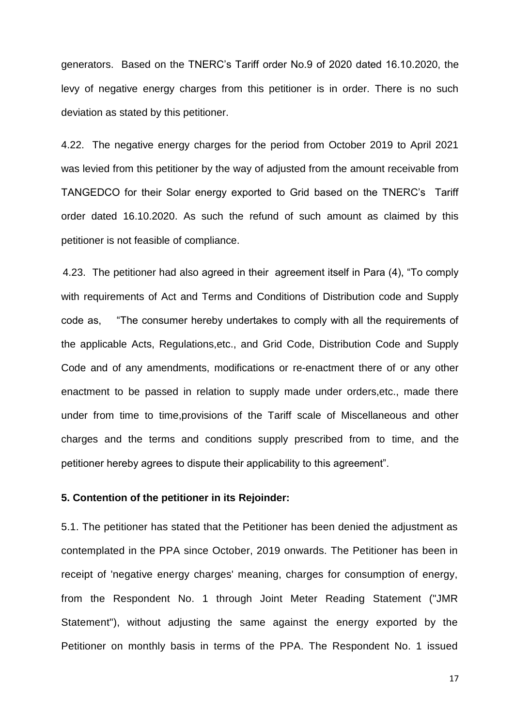generators. Based on the TNERC's Tariff order No.9 of 2020 dated 16.10.2020, the levy of negative energy charges from this petitioner is in order. There is no such deviation as stated by this petitioner.

4.22. The negative energy charges for the period from October 2019 to April 2021 was levied from this petitioner by the way of adjusted from the amount receivable from TANGEDCO for their Solar energy exported to Grid based on the TNERC's Tariff order dated 16.10.2020. As such the refund of such amount as claimed by this petitioner is not feasible of compliance.

4.23. The petitioner had also agreed in their agreement itself in Para (4), "To comply with requirements of Act and Terms and Conditions of Distribution code and Supply code as, "The consumer hereby undertakes to comply with all the requirements of the applicable Acts, Regulations,etc., and Grid Code, Distribution Code and Supply Code and of any amendments, modifications or re-enactment there of or any other enactment to be passed in relation to supply made under orders,etc., made there under from time to time,provisions of the Tariff scale of Miscellaneous and other charges and the terms and conditions supply prescribed from to time, and the petitioner hereby agrees to dispute their applicability to this agreement".

#### **5. Contention of the petitioner in its Rejoinder:**

5.1. The petitioner has stated that the Petitioner has been denied the adjustment as contemplated in the PPA since October, 2019 onwards. The Petitioner has been in receipt of 'negative energy charges' meaning, charges for consumption of energy, from the Respondent No. 1 through Joint Meter Reading Statement ("JMR Statement"), without adjusting the same against the energy exported by the Petitioner on monthly basis in terms of the PPA. The Respondent No. 1 issued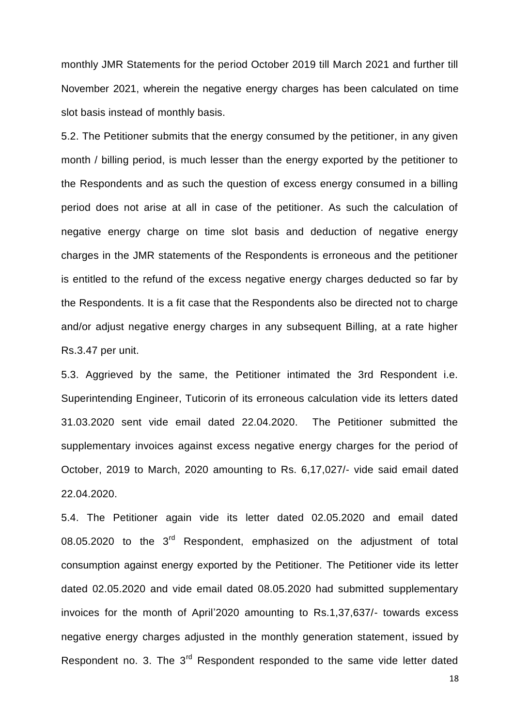monthly JMR Statements for the period October 2019 till March 2021 and further till November 2021, wherein the negative energy charges has been calculated on time slot basis instead of monthly basis.

5.2. The Petitioner submits that the energy consumed by the petitioner, in any given month / billing period, is much lesser than the energy exported by the petitioner to the Respondents and as such the question of excess energy consumed in a billing period does not arise at all in case of the petitioner. As such the calculation of negative energy charge on time slot basis and deduction of negative energy charges in the JMR statements of the Respondents is erroneous and the petitioner is entitled to the refund of the excess negative energy charges deducted so far by the Respondents. It is a fit case that the Respondents also be directed not to charge and/or adjust negative energy charges in any subsequent Billing, at a rate higher Rs.3.47 per unit.

5.3. Aggrieved by the same, the Petitioner intimated the 3rd Respondent i.e. Superintending Engineer, Tuticorin of its erroneous calculation vide its letters dated 31.03.2020 sent vide email dated 22.04.2020. The Petitioner submitted the supplementary invoices against excess negative energy charges for the period of October, 2019 to March, 2020 amounting to Rs. 6,17,027/- vide said email dated 22.04.2020.

5.4. The Petitioner again vide its letter dated 02.05.2020 and email dated 08.05.2020 to the 3<sup>rd</sup> Respondent, emphasized on the adjustment of total consumption against energy exported by the Petitioner. The Petitioner vide its letter dated 02.05.2020 and vide email dated 08.05.2020 had submitted supplementary invoices for the month of April'2020 amounting to Rs.1,37,637/- towards excess negative energy charges adjusted in the monthly generation statement, issued by Respondent no. 3. The 3<sup>rd</sup> Respondent responded to the same vide letter dated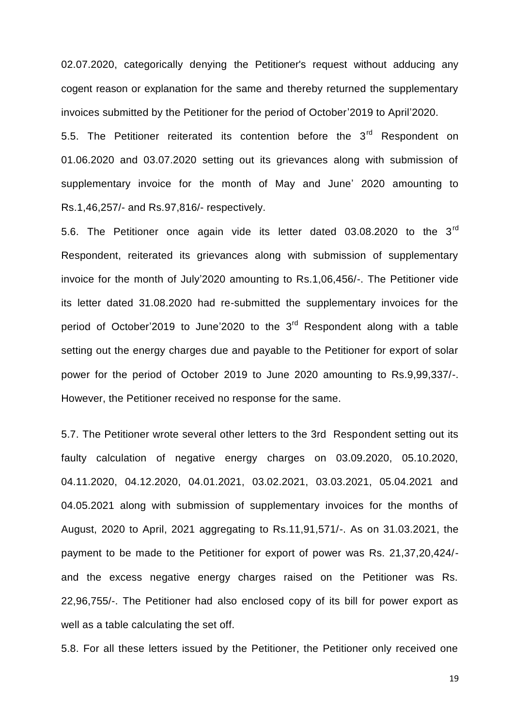02.07.2020, categorically denying the Petitioner's request without adducing any cogent reason or explanation for the same and thereby returned the supplementary invoices submitted by the Petitioner for the period of October'2019 to April'2020.

5.5. The Petitioner reiterated its contention before the  $3<sup>rd</sup>$  Respondent on 01.06.2020 and 03.07.2020 setting out its grievances along with submission of supplementary invoice for the month of May and June' 2020 amounting to Rs.1,46,257/- and Rs.97,816/- respectively.

5.6. The Petitioner once again vide its letter dated 03.08.2020 to the 3rd Respondent, reiterated its grievances along with submission of supplementary invoice for the month of July'2020 amounting to Rs.1,06,456/-. The Petitioner vide its letter dated 31.08.2020 had re-submitted the supplementary invoices for the period of October'2019 to June'2020 to the 3<sup>rd</sup> Respondent along with a table setting out the energy charges due and payable to the Petitioner for export of solar power for the period of October 2019 to June 2020 amounting to Rs.9,99,337/-. However, the Petitioner received no response for the same.

5.7. The Petitioner wrote several other letters to the 3rd Respondent setting out its faulty calculation of negative energy charges on 03.09.2020, 05.10.2020, 04.11.2020, 04.12.2020, 04.01.2021, 03.02.2021, 03.03.2021, 05.04.2021 and 04.05.2021 along with submission of supplementary invoices for the months of August, 2020 to April, 2021 aggregating to Rs.11,91,571/-. As on 31.03.2021, the payment to be made to the Petitioner for export of power was Rs. 21,37,20,424/ and the excess negative energy charges raised on the Petitioner was Rs. 22,96,755/-. The Petitioner had also enclosed copy of its bill for power export as well as a table calculating the set off.

5.8. For all these letters issued by the Petitioner, the Petitioner only received one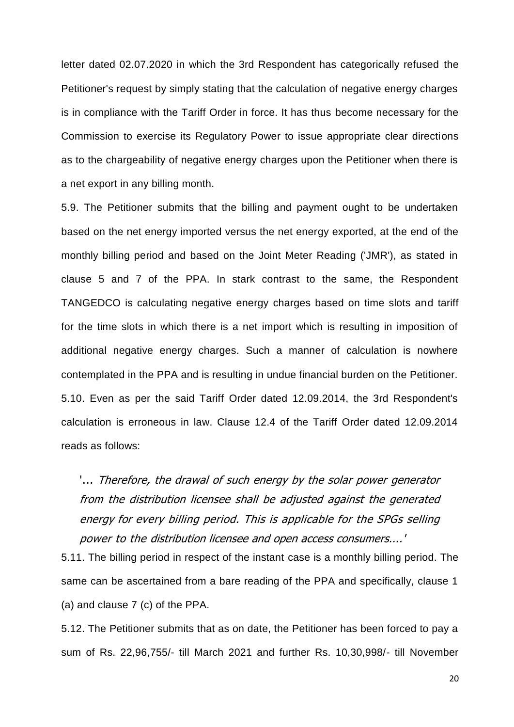letter dated 02.07.2020 in which the 3rd Respondent has categorically refused the Petitioner's request by simply stating that the calculation of negative energy charges is in compliance with the Tariff Order in force. It has thus become necessary for the Commission to exercise its Regulatory Power to issue appropriate clear directions as to the chargeability of negative energy charges upon the Petitioner when there is a net export in any billing month.

5.9. The Petitioner submits that the billing and payment ought to be undertaken based on the net energy imported versus the net energy exported, at the end of the monthly billing period and based on the Joint Meter Reading ('JMR'), as stated in clause 5 and 7 of the PPA. In stark contrast to the same, the Respondent TANGEDCO is calculating negative energy charges based on time slots and tariff for the time slots in which there is a net import which is resulting in imposition of additional negative energy charges. Such a manner of calculation is nowhere contemplated in the PPA and is resulting in undue financial burden on the Petitioner. 5.10. Even as per the said Tariff Order dated 12.09.2014, the 3rd Respondent's calculation is erroneous in law. Clause 12.4 of the Tariff Order dated 12.09.2014 reads as follows:

'... Therefore, the drawal of such energy by the solar power generator from the distribution licensee shall be adjusted against the generated energy for every billing period. This is applicable for the SPGs selling power to the distribution licensee and open access consumers....'

5.11. The billing period in respect of the instant case is a monthly billing period. The same can be ascertained from a bare reading of the PPA and specifically, clause 1 (a) and clause 7 (c) of the PPA.

5.12. The Petitioner submits that as on date, the Petitioner has been forced to pay a sum of Rs. 22,96,755/- till March 2021 and further Rs. 10,30,998/- till November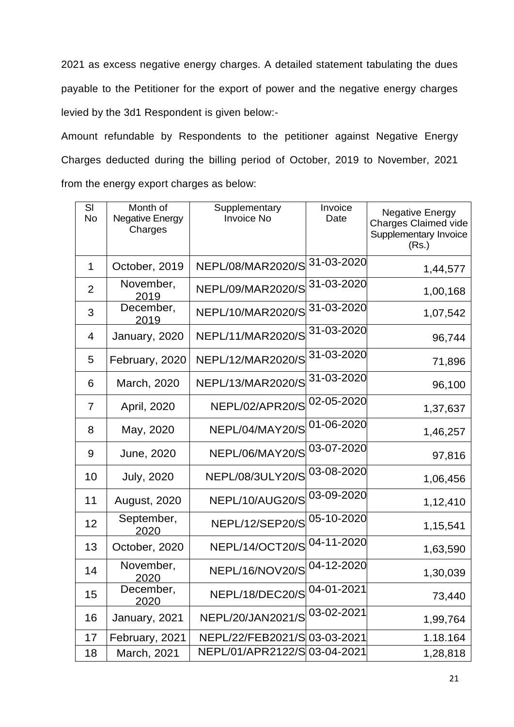2021 as excess negative energy charges. A detailed statement tabulating the dues payable to the Petitioner for the export of power and the negative energy charges levied by the 3d1 Respondent is given below:-

Amount refundable by Respondents to the petitioner against Negative Energy Charges deducted during the billing period of October, 2019 to November, 2021 from the energy export charges as below:

| SI<br><b>No</b> | Month of<br><b>Negative Energy</b><br>Charges | Supplementary<br><b>Invoice No</b> | Invoice<br>Date | <b>Negative Energy</b><br><b>Charges Claimed vide</b><br>Supplementary Invoice<br>(Rs.) |
|-----------------|-----------------------------------------------|------------------------------------|-----------------|-----------------------------------------------------------------------------------------|
| 1               | October, 2019                                 | <b>NEPL/08/MAR2020/S</b>           | 31-03-2020      | 1,44,577                                                                                |
| $\overline{2}$  | November,<br>2019                             | NEPL/09/MAR2020/S                  | 31-03-2020      | 1,00,168                                                                                |
| 3               | December,<br>2019                             | <b>NEPL/10/MAR2020/S</b>           | 31-03-2020      | 1,07,542                                                                                |
| 4               | January, 2020                                 | NEPL/11/MAR2020/S                  | 31-03-2020      | 96,744                                                                                  |
| 5               | February, 2020                                | NEPL/12/MAR2020/S                  | 31-03-2020      | 71,896                                                                                  |
| 6               | March, 2020                                   | <b>NEPL/13/MAR2020/S</b>           | 31-03-2020      | 96,100                                                                                  |
| 7               | April, 2020                                   | NEPL/02/APR20/S                    | 02-05-2020      | 1,37,637                                                                                |
| 8               | May, 2020                                     | NEPL/04/MAY20/S                    | 01-06-2020      | 1,46,257                                                                                |
| 9               | June, 2020                                    | NEPL/06/MAY20/S                    | 03-07-2020      | 97,816                                                                                  |
| 10              | July, 2020                                    | NEPL/08/3ULY20/S                   | 03-08-2020      | 1,06,456                                                                                |
| 11              | <b>August, 2020</b>                           | NEPL/10/AUG20/S                    | 03-09-2020      | 1,12,410                                                                                |
| 12              | September,<br>2020                            | NEPL/12/SEP20/S                    | 05-10-2020      | 1,15,541                                                                                |
| 13              | October, 2020                                 | NEPL/14/OCT20/S                    | 04-11-2020      | 1,63,590                                                                                |
| 14              | November,<br>2020                             | NEPL/16/NOV20/S                    | 04-12-2020      | 1,30,039                                                                                |
| 15              | December,<br>2020                             | NEPL/18/DEC20/S                    | 04-01-2021      | 73,440                                                                                  |
| 16              | January, 2021                                 | NEPL/20/JAN2021/S                  | 03-02-2021      | 1,99,764                                                                                |
| 17              | February, 2021                                | NEPL/22/FEB2021/S 03-03-2021       |                 | 1.18.164                                                                                |
| 18              | March, 2021                                   | NEPL/01/APR2122/S 03-04-2021       |                 | 1,28,818                                                                                |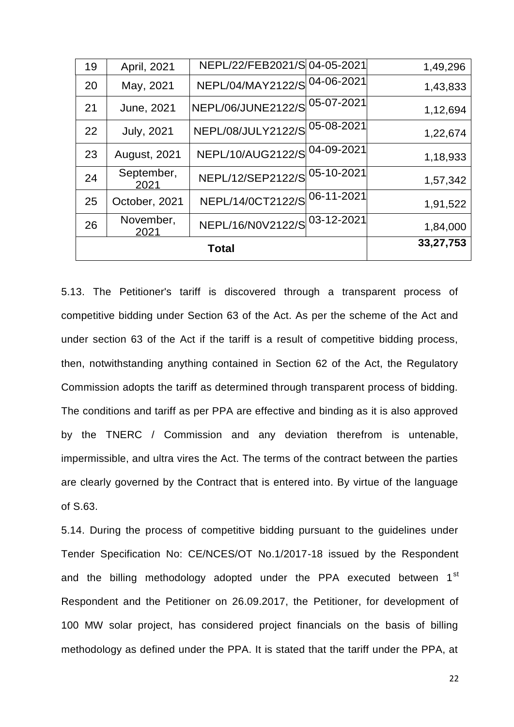| 19 | April, 2021         | NEPL/22/FEB2021/S 04-05-2021 |            | 1,49,296 |
|----|---------------------|------------------------------|------------|----------|
| 20 | May, 2021           | NEPL/04/MAY2122/S            | 04-06-2021 | 1,43,833 |
| 21 | June, 2021          | <b>NEPL/06/JUNE2122/S</b>    | 05-07-2021 | 1,12,694 |
| 22 | <b>July, 2021</b>   | NEPL/08/JULY2122/S           | 05-08-2021 | 1,22,674 |
| 23 | <b>August, 2021</b> | NEPL/10/AUG2122/S            | 04-09-2021 | 1,18,933 |
| 24 | September,<br>2021  | NEPL/12/SEP2122/S 05-10-2021 |            | 1,57,342 |
| 25 | October, 2021       | NEPL/14/0CT2122/S            | 06-11-2021 | 1,91,522 |
| 26 | November,<br>2021   | NEPL/16/N0V2122/S 03-12-2021 |            | 1,84,000 |
|    |                     | 33,27,753                    |            |          |

5.13. The Petitioner's tariff is discovered through a transparent process of competitive bidding under Section 63 of the Act. As per the scheme of the Act and under section 63 of the Act if the tariff is a result of competitive bidding process, then, notwithstanding anything contained in Section 62 of the Act, the Regulatory Commission adopts the tariff as determined through transparent process of bidding. The conditions and tariff as per PPA are effective and binding as it is also approved by the TNERC / Commission and any deviation therefrom is untenable, impermissible, and ultra vires the Act. The terms of the contract between the parties are clearly governed by the Contract that is entered into. By virtue of the language of S.63.

5.14. During the process of competitive bidding pursuant to the guidelines under Tender Specification No: CE/NCES/OT No.1/2017-18 issued by the Respondent and the billing methodology adopted under the PPA executed between 1<sup>st</sup> Respondent and the Petitioner on 26.09.2017, the Petitioner, for development of 100 MW solar project, has considered project financials on the basis of billing methodology as defined under the PPA. It is stated that the tariff under the PPA, at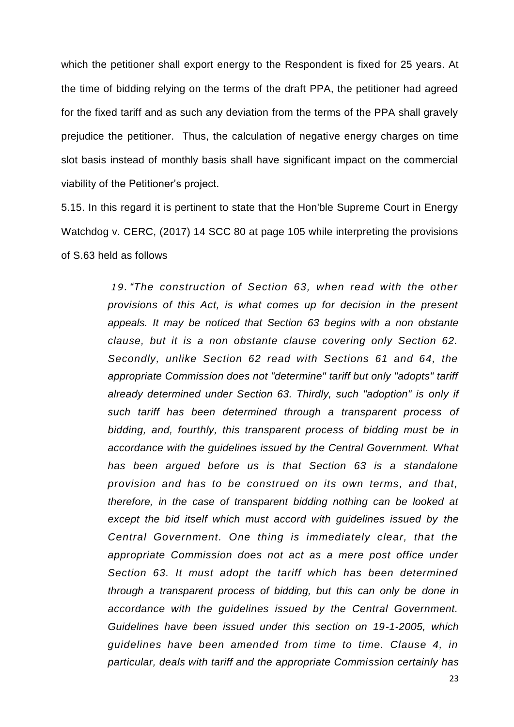which the petitioner shall export energy to the Respondent is fixed for 25 years. At the time of bidding relying on the terms of the draft PPA, the petitioner had agreed for the fixed tariff and as such any deviation from the terms of the PPA shall gravely prejudice the petitioner. Thus, the calculation of negative energy charges on time slot basis instead of monthly basis shall have significant impact on the commercial viability of the Petitioner's project.

5.15. In this regard it is pertinent to state that the Hon'ble Supreme Court in Energy Watchdog v. CERC, (2017) 14 SCC 80 at page 105 while interpreting the provisions of S.63 held as follows

> *19. "The construction of Section 63, when read with the other provisions of this Act, is what comes up for decision in the present appeals. It may be noticed that Section 63 begins with a non obstante clause, but it is a non obstante clause covering only Section 62. Secondly, unlike Section 62 read with Sections 61 and 64, the appropriate Commission does not "determine" tariff but only "adopts" tariff already determined under Section 63. Thirdly, such "adoption" is only if such tariff has been determined through a transparent process of bidding, and, fourthly, this transparent process of bidding must be in accordance with the guidelines issued by the Central Government. What has been argued before us is that Section 63 is a standalone provision and has to be construed on its own terms, and that, therefore, in the case of transparent bidding nothing can be looked at except the bid itself which must accord with guidelines issued by the Central Government. One thing is immediately clear, that the appropriate Commission does not act as a mere post office under Section 63. It must adopt the tariff which has been determined through a transparent process of bidding, but this can only be done in accordance with the guidelines issued by the Central Government. Guidelines have been issued under this section on 19-1-2005, which guidelines have been amended from time to time. Clause 4, in particular, deals with tariff and the appropriate Commission certainly has*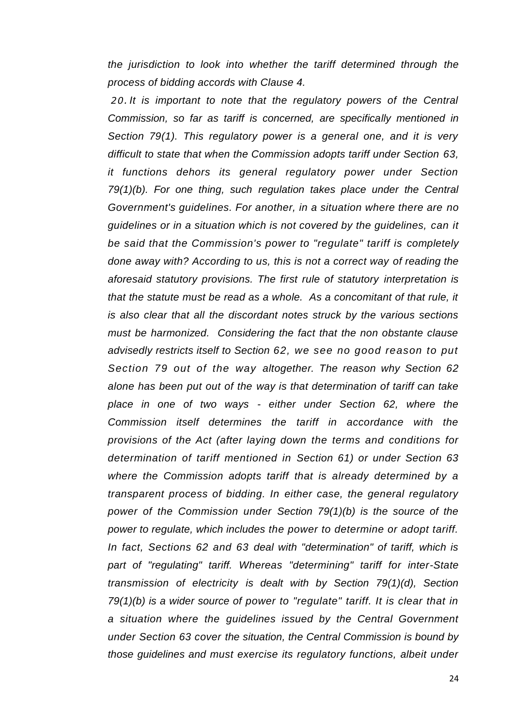*the jurisdiction to look into whether the tariff determined through the process of bidding accords with Clause 4.*

*20. It is important to note that the regulatory powers of the Central Commission, so far as tariff is concerned, are specifically mentioned in Section 79(1). This regulatory power is a general one, and it is very difficult to state that when the Commission adopts tariff under Section 63, it functions dehors its general regulatory power under Section 79(1)(b). For one thing, such regulation takes place under the Central Government's guidelines. For another, in a situation where there are no guidelines or in a situation which is not covered by the guidelines, can it be said that the Commission's power to "regulate" tariff is completely done away with? According to us, this is not a correct way of reading the aforesaid statutory provisions. The first rule of statutory interpretation is that the statute must be read as a whole. As a concomitant of that rule, it is also clear that all the discordant notes struck by the various sections must be harmonized. Considering the fact that the non obstante clause advisedly restricts itself to Section 62, we see no good reason to put Section 79 out of the way altogether. The reason why Section 62 alone has been put out of the way is that determination of tariff can take place in one of two ways - either under Section 62, where the Commission itself determines the tariff in accordance with the provisions of the Act (after laying down the terms and conditions for determination of tariff mentioned in Section 61) or under Section 63 where the Commission adopts tariff that is already determined by a transparent process of bidding. In either case, the general regulatory power of the Commission under Section 79(1)(b) is the source of the power to regulate, which includes the power to determine or adopt tariff. In fact, Sections 62 and 63 deal with "determination" of tariff, which is part of "regulating" tariff. Whereas "determining" tariff for inter-State transmission of electricity is dealt with by Section 79(1)(d), Section 79(1)(b) is a wider source of power to "regulate" tariff. It is clear that in a situation where the guidelines issued by the Central Government under Section 63 cover the situation, the Central Commission is bound by those guidelines and must exercise its regulatory functions, albeit under*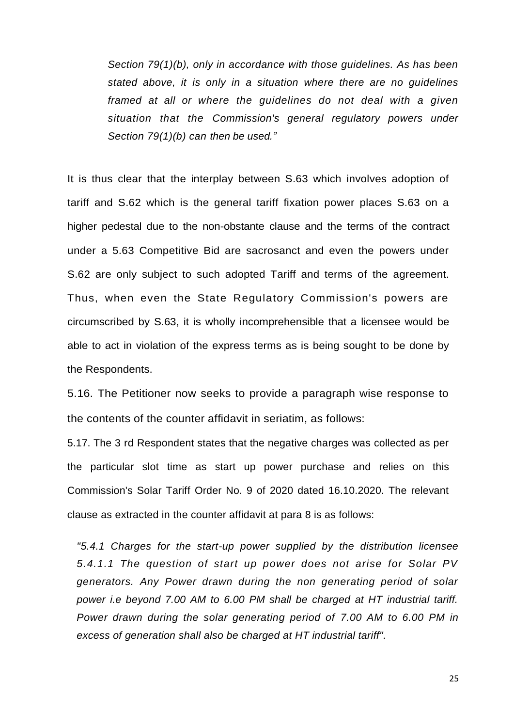*Section 79(1)(b), only in accordance with those guidelines. As has been stated above, it is only in a situation where there are no guidelines framed at all or where the guidelines do not deal with a given situation that the Commission's general regulatory powers under Section 79(1)(b) can then be used."*

It is thus clear that the interplay between S.63 which involves adoption of tariff and S.62 which is the general tariff fixation power places S.63 on a higher pedestal due to the non-obstante clause and the terms of the contract under a 5.63 Competitive Bid are sacrosanct and even the powers under S.62 are only subject to such adopted Tariff and terms of the agreement. Thus, when even the State Regulatory Commission's powers are circumscribed by S.63, it is wholly incomprehensible that a licensee would be able to act in violation of the express terms as is being sought to be done by the Respondents.

5.16. The Petitioner now seeks to provide a paragraph wise response to the contents of the counter affidavit in seriatim, as follows:

5.17. The 3 rd Respondent states that the negative charges was collected as per the particular slot time as start up power purchase and relies on this Commission's Solar Tariff Order No. 9 of 2020 dated 16.10.2020. The relevant clause as extracted in the counter affidavit at para 8 is as follows:

*"5.4.1 Charges for the start-up power supplied by the distribution licensee 5.4.1.1 The question of start up power does not arise for Solar PV generators. Any Power drawn during the non generating period of solar power i.e beyond 7.00 AM to 6.00 PM shall be charged at HT industrial tariff. Power drawn during the solar generating period of 7.00 AM to 6.00 PM in excess of generation shall also be charged at HT industrial tariff".*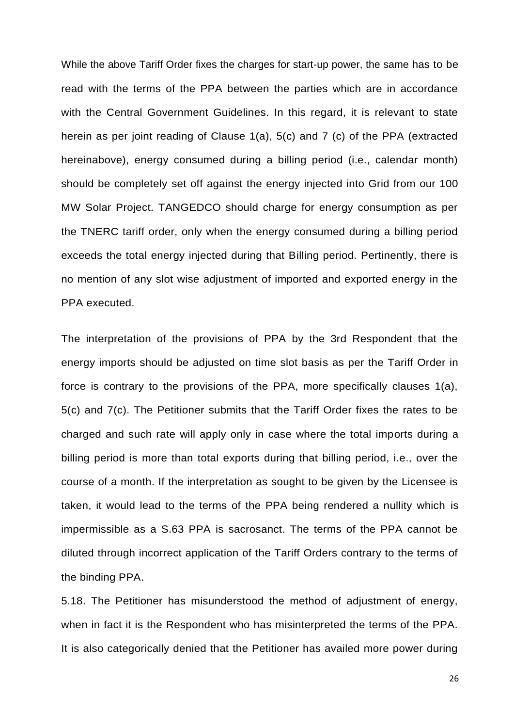While the above Tariff Order fixes the charges for start-up power, the same has to be read with the terms of the PPA between the parties which are in accordance with the Central Government Guidelines. In this regard, it is relevant to state herein as per joint reading of Clause 1(a), 5(c) and 7 (c) of the PPA (extracted hereinabove), energy consumed during a billing period (i.e., calendar month) should be completely set off against the energy injected into Grid from our 100 MW Solar Project. TANGEDCO should charge for energy consumption as per the TNERC tariff order, only when the energy consumed during a billing period exceeds the total energy injected during that Billing period. Pertinently, there is no mention of any slot wise adjustment of imported and exported energy in the PPA executed.

The interpretation of the provisions of PPA by the 3rd Respondent that the energy imports should be adjusted on time slot basis as per the Tariff Order in force is contrary to the provisions of the PPA, more specifically clauses 1(a), 5(c) and 7(c). The Petitioner submits that the Tariff Order fixes the rates to be charged and such rate will apply only in case where the total imports during a billing period is more than total exports during that billing period, i.e., over the course of a month. If the interpretation as sought to be given by the Licensee is taken, it would lead to the terms of the PPA being rendered a nullity which is impermissible as a S.63 PPA is sacrosanct. The terms of the PPA cannot be diluted through incorrect application of the Tariff Orders contrary to the terms of the binding PPA.

5.18. The Petitioner has misunderstood the method of adjustment of energy, when in fact it is the Respondent who has misinterpreted the terms of the PPA. It is also categorically denied that the Petitioner has availed more power during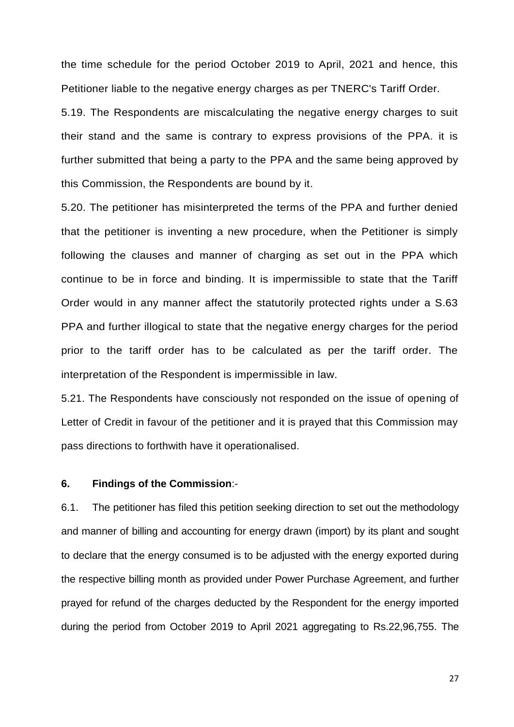the time schedule for the period October 2019 to April, 2021 and hence, this Petitioner liable to the negative energy charges as per TNERC's Tariff Order.

5.19. The Respondents are miscalculating the negative energy charges to suit their stand and the same is contrary to express provisions of the PPA. it is further submitted that being a party to the PPA and the same being approved by this Commission, the Respondents are bound by it.

5.20. The petitioner has misinterpreted the terms of the PPA and further denied that the petitioner is inventing a new procedure, when the Petitioner is simply following the clauses and manner of charging as set out in the PPA which continue to be in force and binding. It is impermissible to state that the Tariff Order would in any manner affect the statutorily protected rights under a S.63 PPA and further illogical to state that the negative energy charges for the period prior to the tariff order has to be calculated as per the tariff order. The interpretation of the Respondent is impermissible in law.

5.21. The Respondents have consciously not responded on the issue of opening of Letter of Credit in favour of the petitioner and it is prayed that this Commission may pass directions to forthwith have it operationalised.

#### **6. Findings of the Commission**:-

6.1. The petitioner has filed this petition seeking direction to set out the methodology and manner of billing and accounting for energy drawn (import) by its plant and sought to declare that the energy consumed is to be adjusted with the energy exported during the respective billing month as provided under Power Purchase Agreement, and further prayed for refund of the charges deducted by the Respondent for the energy imported during the period from October 2019 to April 2021 aggregating to Rs.22,96,755. The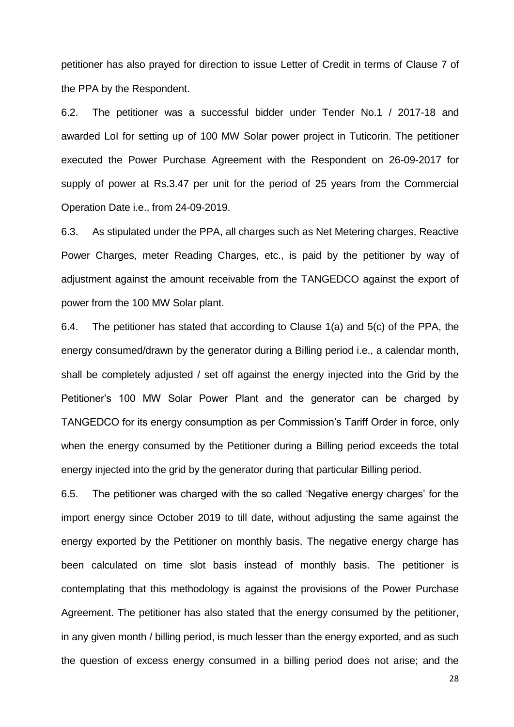petitioner has also prayed for direction to issue Letter of Credit in terms of Clause 7 of the PPA by the Respondent.

6.2. The petitioner was a successful bidder under Tender No.1 / 2017-18 and awarded LoI for setting up of 100 MW Solar power project in Tuticorin. The petitioner executed the Power Purchase Agreement with the Respondent on 26-09-2017 for supply of power at Rs.3.47 per unit for the period of 25 years from the Commercial Operation Date i.e., from 24-09-2019.

6.3. As stipulated under the PPA, all charges such as Net Metering charges, Reactive Power Charges, meter Reading Charges, etc., is paid by the petitioner by way of adjustment against the amount receivable from the TANGEDCO against the export of power from the 100 MW Solar plant.

6.4. The petitioner has stated that according to Clause 1(a) and 5(c) of the PPA, the energy consumed/drawn by the generator during a Billing period i.e., a calendar month, shall be completely adjusted / set off against the energy injected into the Grid by the Petitioner's 100 MW Solar Power Plant and the generator can be charged by TANGEDCO for its energy consumption as per Commission's Tariff Order in force, only when the energy consumed by the Petitioner during a Billing period exceeds the total energy injected into the grid by the generator during that particular Billing period.

6.5. The petitioner was charged with the so called ‗Negative energy charges' for the import energy since October 2019 to till date, without adjusting the same against the energy exported by the Petitioner on monthly basis. The negative energy charge has been calculated on time slot basis instead of monthly basis. The petitioner is contemplating that this methodology is against the provisions of the Power Purchase Agreement. The petitioner has also stated that the energy consumed by the petitioner, in any given month / billing period, is much lesser than the energy exported, and as such the question of excess energy consumed in a billing period does not arise; and the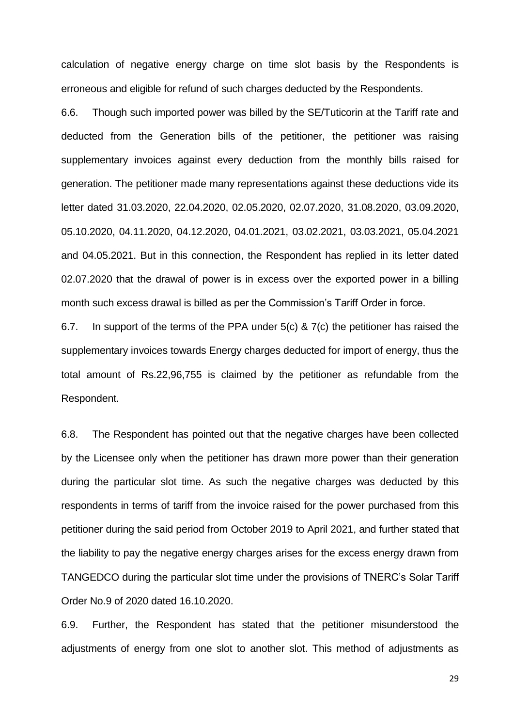calculation of negative energy charge on time slot basis by the Respondents is erroneous and eligible for refund of such charges deducted by the Respondents.

6.6. Though such imported power was billed by the SE/Tuticorin at the Tariff rate and deducted from the Generation bills of the petitioner, the petitioner was raising supplementary invoices against every deduction from the monthly bills raised for generation. The petitioner made many representations against these deductions vide its letter dated 31.03.2020, 22.04.2020, 02.05.2020, 02.07.2020, 31.08.2020, 03.09.2020, 05.10.2020, 04.11.2020, 04.12.2020, 04.01.2021, 03.02.2021, 03.03.2021, 05.04.2021 and 04.05.2021. But in this connection, the Respondent has replied in its letter dated 02.07.2020 that the drawal of power is in excess over the exported power in a billing month such excess drawal is billed as per the Commission's Tariff Order in force.

6.7. In support of the terms of the PPA under 5(c) & 7(c) the petitioner has raised the supplementary invoices towards Energy charges deducted for import of energy, thus the total amount of Rs.22,96,755 is claimed by the petitioner as refundable from the Respondent.

6.8. The Respondent has pointed out that the negative charges have been collected by the Licensee only when the petitioner has drawn more power than their generation during the particular slot time. As such the negative charges was deducted by this respondents in terms of tariff from the invoice raised for the power purchased from this petitioner during the said period from October 2019 to April 2021, and further stated that the liability to pay the negative energy charges arises for the excess energy drawn from TANGEDCO during the particular slot time under the provisions of TNERC's Solar Tariff Order No.9 of 2020 dated 16.10.2020.

6.9. Further, the Respondent has stated that the petitioner misunderstood the adjustments of energy from one slot to another slot. This method of adjustments as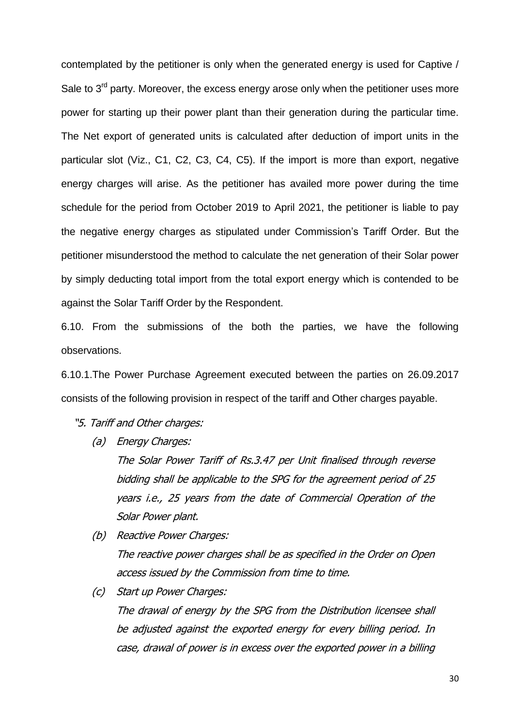contemplated by the petitioner is only when the generated energy is used for Captive / Sale to  $3<sup>rd</sup>$  party. Moreover, the excess energy arose only when the petitioner uses more power for starting up their power plant than their generation during the particular time. The Net export of generated units is calculated after deduction of import units in the particular slot (Viz., C1, C2, C3, C4, C5). If the import is more than export, negative energy charges will arise. As the petitioner has availed more power during the time schedule for the period from October 2019 to April 2021, the petitioner is liable to pay the negative energy charges as stipulated under Commission's Tariff Order. But the petitioner misunderstood the method to calculate the net generation of their Solar power by simply deducting total import from the total export energy which is contended to be against the Solar Tariff Order by the Respondent.

6.10. From the submissions of the both the parties, we have the following observations.

6.10.1.The Power Purchase Agreement executed between the parties on 26.09.2017 consists of the following provision in respect of the tariff and Other charges payable.

- "5. Tariff and Other charges:
	- (a) Energy Charges:

The Solar Power Tariff of Rs.3.47 per Unit finalised through reverse bidding shall be applicable to the SPG for the agreement period of 25 years i.e., 25 years from the date of Commercial Operation of the Solar Power plant.

- (b) Reactive Power Charges: The reactive power charges shall be as specified in the Order on Open access issued by the Commission from time to time.
- (c) Start up Power Charges: The drawal of energy by the SPG from the Distribution licensee shall be adjusted against the exported energy for every billing period. In case, drawal of power is in excess over the exported power in a billing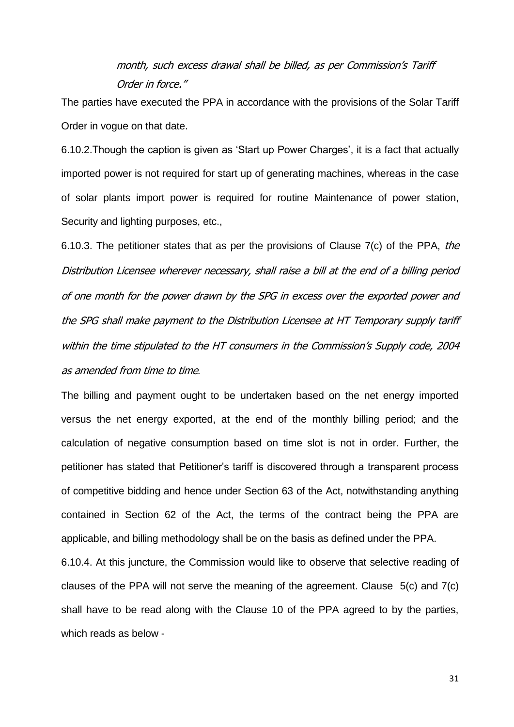month, such excess drawal shall be billed, as per Commission's Tariff Order in force."

The parties have executed the PPA in accordance with the provisions of the Solar Tariff Order in vogue on that date.

6.10.2. Though the caption is given as 'Start up Power Charges', it is a fact that actually imported power is not required for start up of generating machines, whereas in the case of solar plants import power is required for routine Maintenance of power station, Security and lighting purposes, etc.,

6.10.3. The petitioner states that as per the provisions of Clause  $7(c)$  of the PPA, the Distribution Licensee wherever necessary, shall raise a bill at the end of a billing period of one month for the power drawn by the SPG in excess over the exported power and the SPG shall make payment to the Distribution Licensee at HT Temporary supply tariff within the time stipulated to the HT consumers in the Commission's Supply code, 2004 as amended from time to time.

The billing and payment ought to be undertaken based on the net energy imported versus the net energy exported, at the end of the monthly billing period; and the calculation of negative consumption based on time slot is not in order. Further, the petitioner has stated that Petitioner's tariff is discovered through a transparent process of competitive bidding and hence under Section 63 of the Act, notwithstanding anything contained in Section 62 of the Act, the terms of the contract being the PPA are applicable, and billing methodology shall be on the basis as defined under the PPA.

6.10.4. At this juncture, the Commission would like to observe that selective reading of clauses of the PPA will not serve the meaning of the agreement. Clause 5(c) and 7(c) shall have to be read along with the Clause 10 of the PPA agreed to by the parties, which reads as below -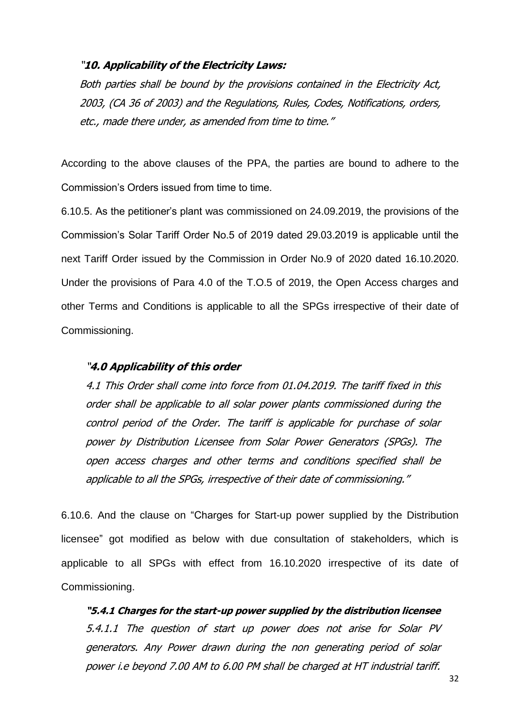### "**10. Applicability of the Electricity Laws:**

Both parties shall be bound by the provisions contained in the Electricity Act, 2003, (CA 36 of 2003) and the Regulations, Rules, Codes, Notifications, orders, etc., made there under, as amended from time to time."

According to the above clauses of the PPA, the parties are bound to adhere to the Commission's Orders issued from time to time.

6.10.5. As the petitioner's plant was commissioned on 24.09.2019, the provisions of the Commission's Solar Tariff Order No.5 of 2019 dated 29.03.2019 is applicable until the next Tariff Order issued by the Commission in Order No.9 of 2020 dated 16.10.2020. Under the provisions of Para 4.0 of the T.O.5 of 2019, the Open Access charges and other Terms and Conditions is applicable to all the SPGs irrespective of their date of Commissioning.

### "**4.0 Applicability of this order**

4.1 This Order shall come into force from 01.04.2019. The tariff fixed in this order shall be applicable to all solar power plants commissioned during the control period of the Order. The tariff is applicable for purchase of solar power by Distribution Licensee from Solar Power Generators (SPGs). The open access charges and other terms and conditions specified shall be applicable to all the SPGs, irrespective of their date of commissioning."

6.10.6. And the clause on "Charges for Start-up power supplied by the Distribution licensee" got modified as below with due consultation of stakeholders, which is applicable to all SPGs with effect from 16.10.2020 irrespective of its date of Commissioning.

**"5.4.1 Charges for the start-up power supplied by the distribution licensee** 5.4.1.1 The question of start up power does not arise for Solar PV generators. Any Power drawn during the non generating period of solar power i.e beyond 7.00 AM to 6.00 PM shall be charged at HT industrial tariff.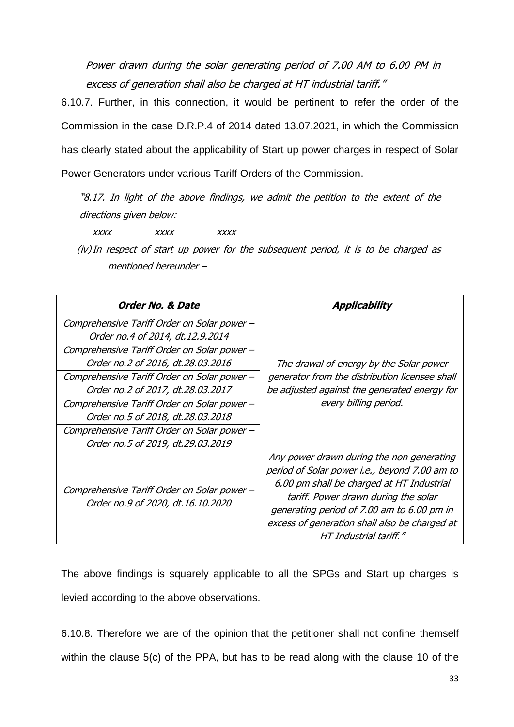Power drawn during the solar generating period of 7.00 AM to 6.00 PM in excess of generation shall also be charged at HT industrial tariff."

6.10.7. Further, in this connection, it would be pertinent to refer the order of the Commission in the case D.R.P.4 of 2014 dated 13.07.2021, in which the Commission has clearly stated about the applicability of Start up power charges in respect of Solar Power Generators under various Tariff Orders of the Commission.

"8.17. In light of the above findings, we admit the petition to the extent of the directions given below:

xxxx xxxx xxxx

(iv)In respect of start up power for the subsequent period, it is to be charged as mentioned hereunder –

| Order No. & Date                                                                 | Applicability                                                                                                                                                                                                                                                                                            |  |  |  |
|----------------------------------------------------------------------------------|----------------------------------------------------------------------------------------------------------------------------------------------------------------------------------------------------------------------------------------------------------------------------------------------------------|--|--|--|
| Comprehensive Tariff Order on Solar power -<br>Order no.4 of 2014, dt.12.9.2014  |                                                                                                                                                                                                                                                                                                          |  |  |  |
| Comprehensive Tariff Order on Solar power -<br>Order no.2 of 2016, dt.28.03.2016 | The drawal of energy by the Solar power                                                                                                                                                                                                                                                                  |  |  |  |
| Comprehensive Tariff Order on Solar power -<br>Order no.2 of 2017, dt.28.03.2017 | generator from the distribution licensee shall<br>be adjusted against the generated energy for                                                                                                                                                                                                           |  |  |  |
| Comprehensive Tariff Order on Solar power -<br>Order no.5 of 2018, dt.28.03.2018 | every billing period.                                                                                                                                                                                                                                                                                    |  |  |  |
| Comprehensive Tariff Order on Solar power -<br>Order no.5 of 2019, dt.29.03.2019 |                                                                                                                                                                                                                                                                                                          |  |  |  |
| Comprehensive Tariff Order on Solar power -<br>Order no.9 of 2020, dt.16.10.2020 | Any power drawn during the non generating<br>period of Solar power i.e., beyond 7.00 am to<br>6.00 pm shall be charged at HT Industrial<br>tariff. Power drawn during the solar<br>generating period of 7.00 am to 6.00 pm in<br>excess of generation shall also be charged at<br>HT Industrial tariff." |  |  |  |

The above findings is squarely applicable to all the SPGs and Start up charges is levied according to the above observations.

6.10.8. Therefore we are of the opinion that the petitioner shall not confine themself within the clause 5(c) of the PPA, but has to be read along with the clause 10 of the